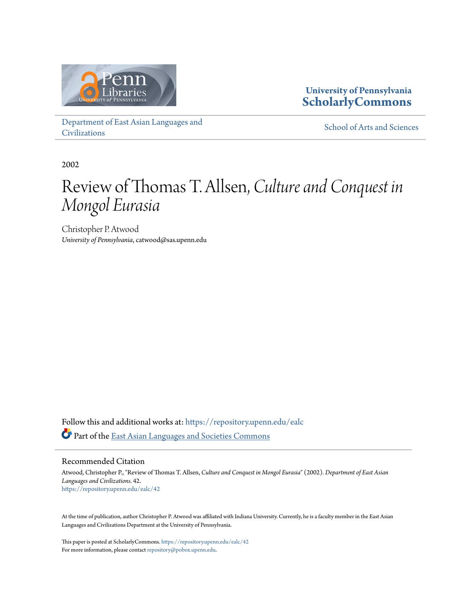

**University of Pennsylvania [ScholarlyCommons](https://repository.upenn.edu/?utm_source=repository.upenn.edu%2Fealc%2F42&utm_medium=PDF&utm_campaign=PDFCoverPages)**

[Department of East Asian Languages and](https://repository.upenn.edu/ealc?utm_source=repository.upenn.edu%2Fealc%2F42&utm_medium=PDF&utm_campaign=PDFCoverPages) [Civilizations](https://repository.upenn.edu/ealc?utm_source=repository.upenn.edu%2Fealc%2F42&utm_medium=PDF&utm_campaign=PDFCoverPages)

[School of Arts and Sciences](https://repository.upenn.edu/sas?utm_source=repository.upenn.edu%2Fealc%2F42&utm_medium=PDF&utm_campaign=PDFCoverPages)

2002

# Review of Thomas T. Allsen, *Culture and Conquest in Mongol Eurasia*

Christopher P. Atwood *University of Pennsylvania*, catwood@sas.upenn.edu

Follow this and additional works at: [https://repository.upenn.edu/ealc](https://repository.upenn.edu/ealc?utm_source=repository.upenn.edu%2Fealc%2F42&utm_medium=PDF&utm_campaign=PDFCoverPages) Part of the [East Asian Languages and Societies Commons](http://network.bepress.com/hgg/discipline/481?utm_source=repository.upenn.edu%2Fealc%2F42&utm_medium=PDF&utm_campaign=PDFCoverPages)

Recommended Citation

Atwood, Christopher P., "Review of Thomas T. Allsen, *Culture and Conquest in Mongol Eurasia*" (2002). *Department of East Asian Languages and Civilizations*. 42. [https://repository.upenn.edu/ealc/42](https://repository.upenn.edu/ealc/42?utm_source=repository.upenn.edu%2Fealc%2F42&utm_medium=PDF&utm_campaign=PDFCoverPages)

At the time of publication, author Christopher P. Atwood was affiliated with Indiana University. Currently, he is a faculty member in the East Asian Languages and Civilizations Department at the University of Pennsylvania.

This paper is posted at ScholarlyCommons. <https://repository.upenn.edu/ealc/42> For more information, please contact [repository@pobox.upenn.edu.](mailto:repository@pobox.upenn.edu)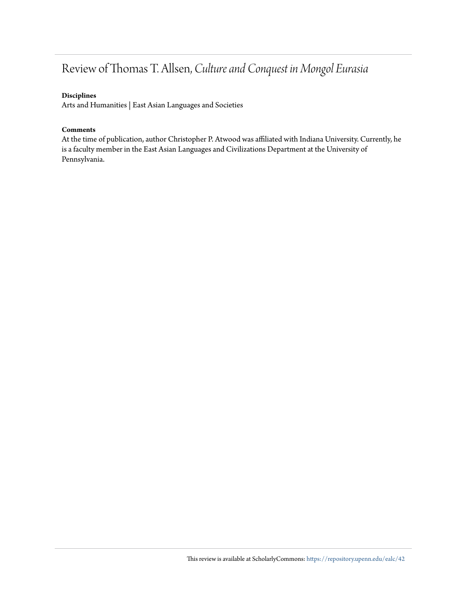## Review of Thomas T. Allsen, *Culture and Conquest in Mongol Eurasia*

#### **Disciplines**

Arts and Humanities | East Asian Languages and Societies

#### **Comments**

At the time of publication, author Christopher P. Atwood was affiliated with Indiana University. Currently, he is a faculty member in the East Asian Languages and Civilizations Department at the University of Pennsylvania.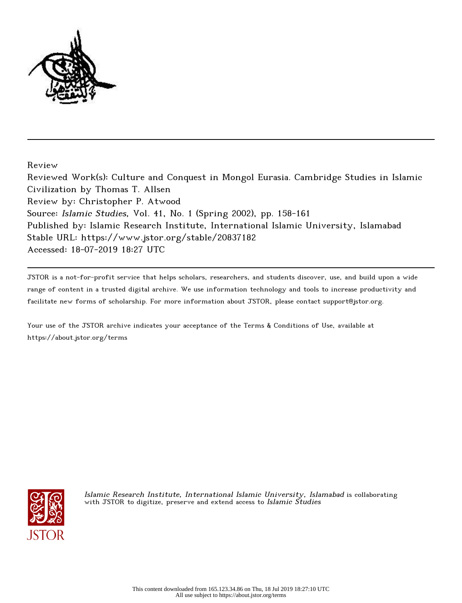

Review

Reviewed Work(s): Culture and Conquest in Mongol Eurasia. Cambridge Studies in Islamic Civilization by Thomas T. Allsen Review by: Christopher P. Atwood Source: Islamic Studies, Vol. 41, No. 1 (Spring 2002), pp. 158-161 Published by: Islamic Research Institute, International Islamic University, Islamabad Stable URL: https://www.jstor.org/stable/20837182 Accessed: 18-07-2019 18:27 UTC

JSTOR is a not-for-profit service that helps scholars, researchers, and students discover, use, and build upon a wide range of content in a trusted digital archive. We use information technology and tools to increase productivity and facilitate new forms of scholarship. For more information about JSTOR, please contact support@jstor.org.

Your use of the JSTOR archive indicates your acceptance of the Terms & Conditions of Use, available at https://about.jstor.org/terms



Islamic Research Institute, International Islamic University, Islamabad is collaborating with JSTOR to digitize, preserve and extend access to Islamic Studies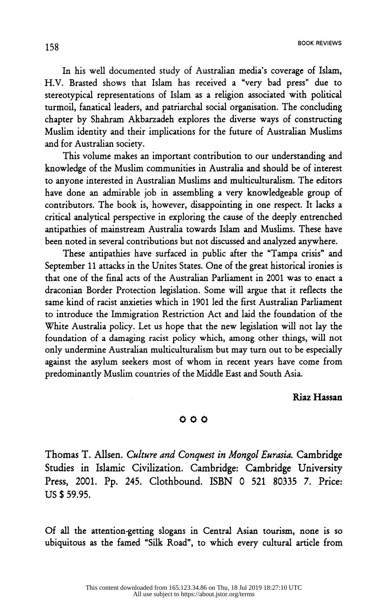In his well documented study of Australian media's coverage of Islam, H.V. Brasted shows that Islam has received a "very bad press" due to stereotypical representations of Islam as a religion associated with political turmoil, fanatical leaders, and patriarchal social organisation. The concluding chapter by Shahram Akbarzadeh explores the diverse ways of constructing Muslim identity and their implications for the future of Australian Muslims and for Australian society.

This volume makes an important contribution to our understanding and knowledge of the Muslim communities in Australia and should be of interest to anyone interested in Australian Muslims and multiculturalism. The editors have done an admirable job in assembling a very knowledgeable group of contributors. The book is, however, disappointing in one respect. It lacks a critical analytical perspective in exploring the cause of the deeply entrenched antipathies of mainstream Australia towards Islam and Muslims. These have been noted in several contributions but not discussed and analyzed anywhere.

These antipathies have surfaced in public after the "Tampa crisis" and September 11 attacks in the Unites States. One of the great historical ironies is  $\mathbf{S}$  in the United States. One of the United States. One of the great historical intervals in the great historical intervals in the great historical intervals in the great historical intervals in the great historical that one of the final acts of the Australian Farnament in  $2001$  w  $\frac{1}{1 + 1}$  are  $\frac{1}{1 + 1}$  are  $\frac{1}{1 + 1}$  are flectual argue that it reflects the  $\frac{1}{1 + 1}$  argue that it reflects the  $\frac{1}{1 + 1}$ same kind of racist anxieties which in 1901 led the first Austral to introduce the Immigration Restriction Act and laid the foundation of the foundation of a damaging racist policy which, among other things, will not only undermine Australian multiculturalism but may turn out to be especially against the asylum seekers most of whom in recent years have come from  $\frac{1}{2}$ predominantly Muslim countries of the Middle East and South Asia.

### Riaz Hassan

#### OOO

 Thomas T. Alisen. Culture and Conquest in Mongol Eurasia. Cambridge Studies in Islamic Civilization. Cambridge: Cambridge University Press, 2001. Pp. 245. Clothbound. ISBN 0 521 80335 7. Price: US \$ 59.95.

 Of all the attention-getting slogans in Central Asian tourism, none is so ubiquitous as the famed "Silk Road", to which every cultural article from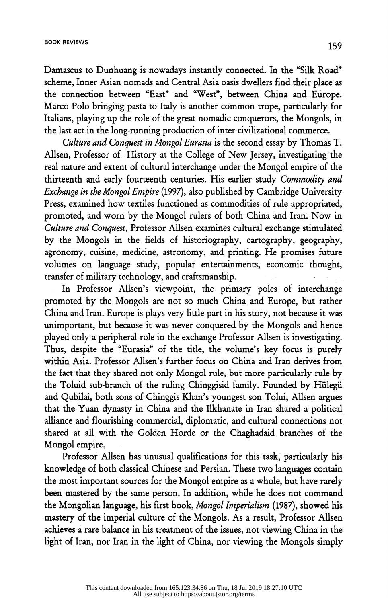Damascus to Dunhuang is nowadays instantly connected. In the "Silk Road" scheme, Inner Asian nomads and Central Asia oasis dwellers find their place as the connection between "East" and "West", between China and Europe. Marco Polo bringing pasta to Italy is another common trope, particularly for Italians, playing up the role of the great nomadic conquerors, the Mongols, in the last act in the long-running production of inter-civilizational commerce.

Culture and Conquest in Mongol Eurasia is the second essay by Thomas T. Allsen, Professor of History at the College of New Jersey, investigating the real nature and extent of cultural interchange under the Mongol empire of the thirteenth and early fourteenth centuries. His earlier study Commodity and Exchange in the Mongol Empire (1997), also published by Cambridge University Press, examined how textiles functioned as commodities of rule appropriated, promoted, and worn by the Mongol rulers of both China and Iran. Now in Culture and Conquest, Professor Allsen examines cultural exchange stimulated by the Mongols in the fields of historiography, cartography, geography, agronomy, cuisine, medicine, astronomy, and printing. He promises future volumes on language study, popular entertainments, economic thought, transfer of military technology, and craftsmanship.

In Professor Allsen's viewpoint, the primary poles of interchange promoted by the Mongols are not so much China and Europe, but rather China and Iran. Europe is plays very little part in his story, not because it was unimportant, but because it was never conquered by the Mongols and hence played only a peripheral role in the exchange Professor Allsen is investigating. Thus, despite the "Eurasia" of the title, the volume's key focus is purely Thus, despite the Eurasia" of the title, the volume's key focus within Asia. Professor Allsen's further focus on China and Iran de the fact that they shared not only Mongol rule, but more particularly rule by the Toluid sub-branch of the ruling Chinggisid family. Founded by Hülegü and Qubilai, both sons of Chinggis Khan's youngest son Tolui, Allsen argues that the Yuan dynasty in China and the Ilkhanate in Iran shared a political alliance and flourishing commercial, diplomatic, and cultural connections not  $\frac{1}{\sqrt{2}}$  and flower commercial, and connections not connect on  $\frac{1}{\sqrt{2}}$  and connections not connect on  $\frac{1}{\sqrt{2}}$  and  $\frac{1}{\sqrt{2}}$  and  $\frac{1}{\sqrt{2}}$  and  $\frac{1}{\sqrt{2}}$  and  $\frac{1}{\sqrt{2}}$  and  $\frac{1}{\sqrt{2}}$  and  $\frac{1}{\sqrt$ shared at all with the Golden Horde or the Chaghadaid branches of the

Mongol empire.<br>Professor Allsen has unusual qualifications for this task, particularly his knowledge of both classical Chinese and Persian. These two languages contain the most important sources for the Mongol empire as a whole, but have rarely been mastered by the same person. In addition, while he does not command the Mongolian language, his first book, Mongol Imperialism (1987), showed his mastery of the imperial culture of the Mongols. As a result, Professor Allsen achieves a rare balance in his treatment of the issues, not viewing China in the achieves a rare balance in his treatment of the issues, not viewing  $\frac{1}{\sqrt{2}}$ light of Iran, nor Iran in the light of China, nor viewing the Mongols simply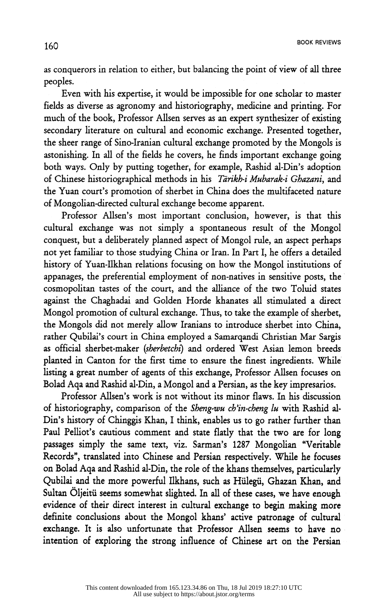as conquerors in relation to either, but balancing the point of view of all three

Even with his expertise, it would be impossible for one scholar to master fields as diverse as agronomy and historiography, medicine and printing. For much of the book, Professor Allsen serves as an expert synthesizer of existing. secondary literature on cultural and economic exchange. Presented together, the sheer range of Sino-Iranian cultural exchange promoted by the Mongols is astonishing. In all of the fields he covers, he finds important exchange going both ways. Only by putting together, for example, Rashid al-Din's adoption of Chinese historiographical methods in his Tarikh-i Mubarak-i Ghazani, and the Yuan court's promotion of sherbet in China does the multifaceted nature of Mongolian-directed cultural exchange become apparent.

Professor Allsen's most important conclusion, however, is that this cultural exchange was not simply a spontaneous result of the Mongol conquest, but a deliberately planned aspect of Mongol rule, an aspect perhaps not yet familiar to those studying China or Iran. In Part I, he offers a detailed history of Yuan-Ilkhan relations focusing on how the Mongol institutions of appanages, the preferential employment of non-natives in sensitive posts, the cosmopolitan tastes of the court, and the alliance of the two Toluid states against the Chaghadai and Golden Horde khanates all stimulated a direct Mongol promotion of cultural exchange. Thus, to take the example of sherbet, the Mongols did not merely allow Iranians to introduce sherbet into China, rather Qubilai's court in China employed a Samarqandi Christian Mar Sargis as official sherbet-maker (sherbetchi) and ordered West Asian lemon breeds planted in Canton for the first time to ensure the finest ingredients. While listing a great number of agents of this exchange, Professor Allsen focuses on Bolad Aqa and Rashid al-Din, a Mongol and a Persian, as the key impresarios.  $\mathbb{R}$  and  $\mathbb{R}$  and  $\mathbb{R}$  and  $\mathbb{R}$  are key impressed and a Persian, as the key impression  $\mathbb{R}$  and  $\mathbb{R}$  and  $\mathbb{R}$  and  $\mathbb{R}$  and  $\mathbb{R}$  and  $\mathbb{R}$  and  $\mathbb{R}$  and  $\mathbb{R}$  and  $\mathbb{R}$  and

Professor Allsen's work is not without its minor flaws. In his discussion of historiography, comparison of the *Sheng-wu ch'in-cheng lu* with Rashid al-<br>Din's history of Chinggis Khan, I think, enables us to go rather further than Paul Pelliot's cautious comment and state flatly that the two are for long passages simply the same text, viz. Sarman's 1287 Mongolian "Veritable Records", translated into Chinese and Persian respectively. While he focuses on Bolad Aqa and Rashid al-Din, the role of the khans themselves, particularly Qubilai and the more powerful Ilkhans, such as Hülegü, Ghazan Khan, and Sultan Öljeitü seems somewhat slighted. In all of these cases, we have enough evidence of their direct interest in cultural exchange to begin making more definite conclusions about the Mongol khans' active patronage of cultural exchange. It is also unfortunate that Professor Allsen seems to have no exchange. It is also unfortunate that Professor Alisen seems to have no intention of exploring the strong influence of Chinese art on the Persian